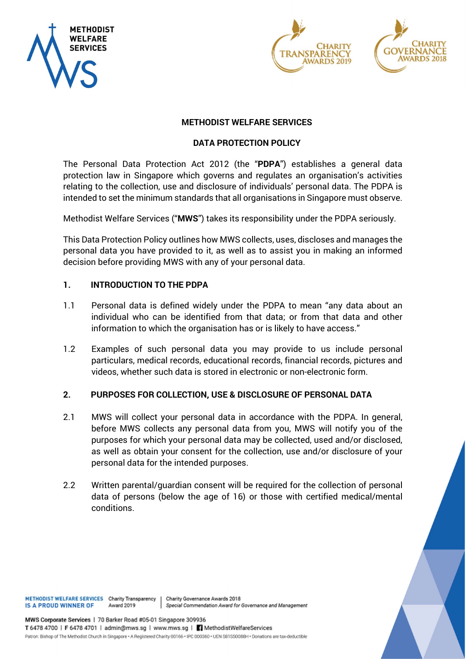





# METHODIST WELFARE SERVICES

### DATA PROTECTION POLICY

The Personal Data Protection Act 2012 (the "PDPA") establishes a general data protection law in Singapore which governs and regulates an organisation's activities relating to the collection, use and disclosure of individuals' personal data. The PDPA is intended to set the minimum standards that all organisations in Singapore must observe.

Methodist Welfare Services ("MWS") takes its responsibility under the PDPA seriously.

This Data Protection Policy outlines how MWS collects, uses, discloses and manages the personal data you have provided to it, as well as to assist you in making an informed decision before providing MWS with any of your personal data.

### 1. INTRODUCTION TO THE PDPA

- 1.1 Personal data is defined widely under the PDPA to mean "any data about an individual who can be identified from that data; or from that data and other information to which the organisation has or is likely to have access."
- 1.2 Examples of such personal data you may provide to us include personal particulars, medical records, educational records, financial records, pictures and videos, whether such data is stored in electronic or non-electronic form.

#### 2. PURPOSES FOR COLLECTION, USE & DISCLOSURE OF PERSONAL DATA

- 2.1 MWS will collect your personal data in accordance with the PDPA. In general, before MWS collects any personal data from you, MWS will notify you of the purposes for which your personal data may be collected, used and/or disclosed, as well as obtain your consent for the collection, use and/or disclosure of your personal data for the intended purposes.
- 2.2 Written parental/guardian consent will be required for the collection of personal data of persons (below the age of 16) or those with certified medical/mental conditions.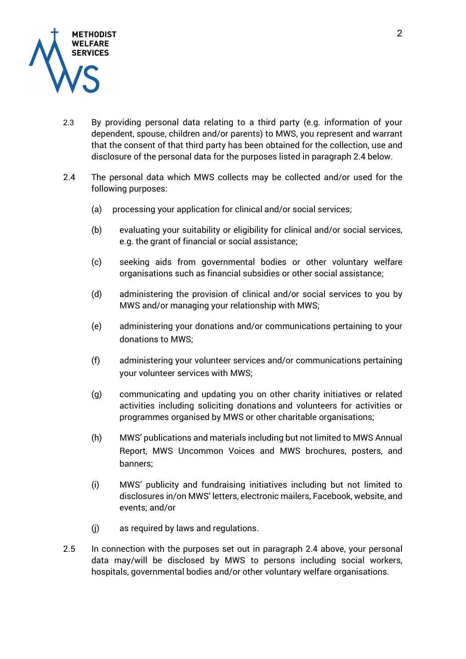

- 2.3 By providing personal data relating to a third party (e.g. information of your dependent, spouse, children and/or parents) to MWS, you represent and warrant that the consent of that third party has been obtained for the collection, use and disclosure of the personal data for the purposes listed in paragraph 2.4 below.
- 2.4 The personal data which MWS collects may be collected and/or used for the following purposes:
	- (a) processing your application for clinical and/or social services;
	- (b) evaluating your suitability or eligibility for clinical and/or social services, e.g. the grant of financial or social assistance;
	- (c) seeking aids from governmental bodies or other voluntary welfare organisations such as financial subsidies or other social assistance;
	- (d) administering the provision of clinical and/or social services to you by MWS and/or managing your relationship with MWS;
	- (e) administering your donations and/or communications pertaining to your donations to MWS;
	- (f) administering your volunteer services and/or communications pertaining your volunteer services with MWS;
	- (g) communicating and updating you on other charity initiatives or related activities including soliciting donations and volunteers for activities or programmes organised by MWS or other charitable organisations;
	- (h) MWS' publications and materials including but not limited to MWS Annual Report, MWS Uncommon Voices and MWS brochures, posters, and banners;
	- (i) MWS' publicity and fundraising initiatives including but not limited to disclosures in/on MWS' letters, electronic mailers, Facebook, website, and events; and/or
	- (j) as required by laws and regulations.
- 2.5 In connection with the purposes set out in paragraph 2.4 above, your personal data may/will be disclosed by MWS to persons including social workers, hospitals, governmental bodies and/or other voluntary welfare organisations.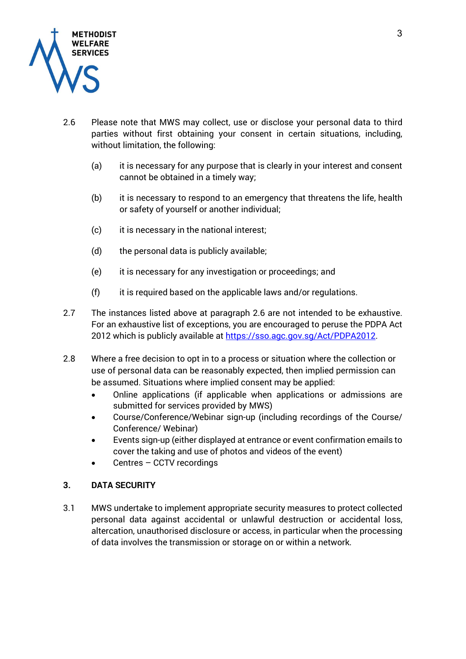

- 2.6 Please note that MWS may collect, use or disclose your personal data to third parties without first obtaining your consent in certain situations, including, without limitation, the following:
	- (a) it is necessary for any purpose that is clearly in your interest and consent cannot be obtained in a timely way;
	- (b) it is necessary to respond to an emergency that threatens the life, health or safety of yourself or another individual;
	- (c) it is necessary in the national interest;
	- (d) the personal data is publicly available;
	- (e) it is necessary for any investigation or proceedings; and
	- $(f)$  it is required based on the applicable laws and/or regulations.
- 2.7 The instances listed above at paragraph 2.6 are not intended to be exhaustive. For an exhaustive list of exceptions, you are encouraged to peruse the PDPA Act 2012 which is publicly available at https://sso.agc.gov.sg/Act/PDPA2012.
- 2.8 Where a free decision to opt in to a process or situation where the collection or use of personal data can be reasonably expected, then implied permission can be assumed. Situations where implied consent may be applied:
	- Online applications (if applicable when applications or admissions are submitted for services provided by MWS)
	- Course/Conference/Webinar sign-up (including recordings of the Course/ Conference/ Webinar)
	- Events sign-up (either displayed at entrance or event confirmation emails to cover the taking and use of photos and videos of the event)
	- Centres CCTV recordings

# 3. DATA SECURITY

3.1 MWS undertake to implement appropriate security measures to protect collected personal data against accidental or unlawful destruction or accidental loss, altercation, unauthorised disclosure or access, in particular when the processing of data involves the transmission or storage on or within a network.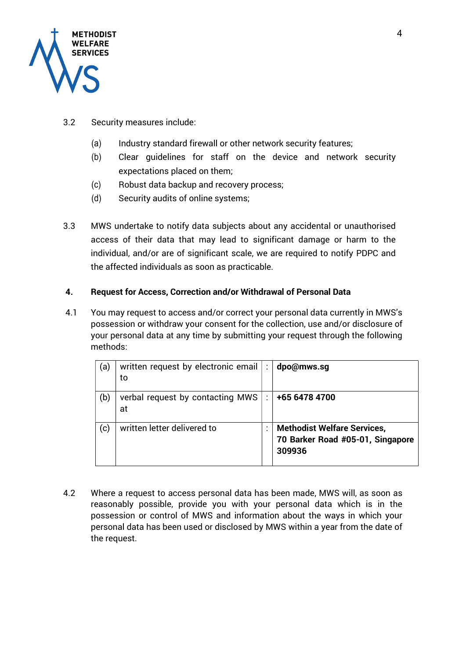

- 3.2 Security measures include:
	- (a) Industry standard firewall or other network security features;
	- (b) Clear guidelines for staff on the device and network security expectations placed on them;
	- (c) Robust data backup and recovery process;
	- (d) Security audits of online systems;
- 3.3 MWS undertake to notify data subjects about any accidental or unauthorised access of their data that may lead to significant damage or harm to the individual, and/or are of significant scale, we are required to notify PDPC and the affected individuals as soon as practicable.

# 4. Request for Access, Correction and/or Withdrawal of Personal Data

4.1 You may request to access and/or correct your personal data currently in MWS's possession or withdraw your consent for the collection, use and/or disclosure of your personal data at any time by submitting your request through the following methods:

| (a) | written request by electronic email<br>to | ÷ | dpo@mws.sq                                                                       |
|-----|-------------------------------------------|---|----------------------------------------------------------------------------------|
| (b) | verbal request by contacting MWS<br>at    |   | +65 6478 4700                                                                    |
| (c) | written letter delivered to               |   | <b>Methodist Welfare Services,</b><br>70 Barker Road #05-01, Singapore<br>309936 |

4.2 Where a request to access personal data has been made, MWS will, as soon as reasonably possible, provide you with your personal data which is in the possession or control of MWS and information about the ways in which your personal data has been used or disclosed by MWS within a year from the date of the request.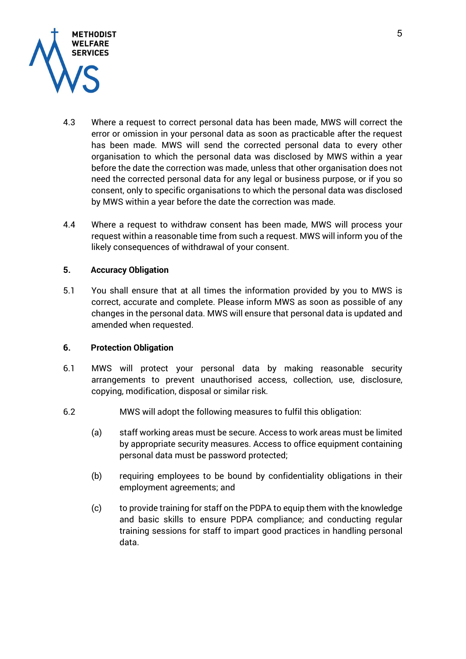

- 4.3 Where a request to correct personal data has been made, MWS will correct the error or omission in your personal data as soon as practicable after the request has been made. MWS will send the corrected personal data to every other organisation to which the personal data was disclosed by MWS within a year before the date the correction was made, unless that other organisation does not need the corrected personal data for any legal or business purpose, or if you so consent, only to specific organisations to which the personal data was disclosed by MWS within a year before the date the correction was made.
- 4.4 Where a request to withdraw consent has been made, MWS will process your request within a reasonable time from such a request. MWS will inform you of the likely consequences of withdrawal of your consent.

### 5. Accuracy Obligation

5.1 You shall ensure that at all times the information provided by you to MWS is correct, accurate and complete. Please inform MWS as soon as possible of any changes in the personal data. MWS will ensure that personal data is updated and amended when requested.

# 6. Protection Obligation

- 6.1 MWS will protect your personal data by making reasonable security arrangements to prevent unauthorised access, collection, use, disclosure, copying, modification, disposal or similar risk.
- 6.2 MWS will adopt the following measures to fulfil this obligation:
	- (a) staff working areas must be secure. Access to work areas must be limited by appropriate security measures. Access to office equipment containing personal data must be password protected;
	- (b) requiring employees to be bound by confidentiality obligations in their employment agreements; and
	- (c) to provide training for staff on the PDPA to equip them with the knowledge and basic skills to ensure PDPA compliance; and conducting regular training sessions for staff to impart good practices in handling personal data.